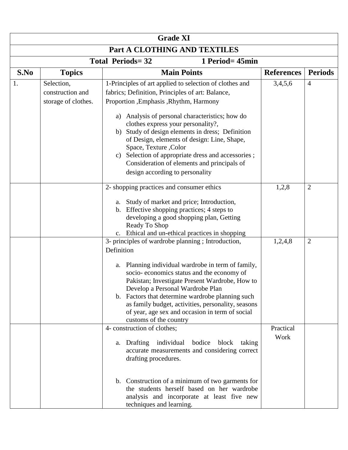|                              | <b>Grade XI</b>                                       |                                                                                                                                                                                                                                                                                                                                                                                                                                                    |                   |                |  |  |
|------------------------------|-------------------------------------------------------|----------------------------------------------------------------------------------------------------------------------------------------------------------------------------------------------------------------------------------------------------------------------------------------------------------------------------------------------------------------------------------------------------------------------------------------------------|-------------------|----------------|--|--|
| Part A CLOTHING AND TEXTILES |                                                       |                                                                                                                                                                                                                                                                                                                                                                                                                                                    |                   |                |  |  |
|                              | <b>Total Periods=32</b><br>1 Period= 45min            |                                                                                                                                                                                                                                                                                                                                                                                                                                                    |                   |                |  |  |
| S.No                         | <b>Topics</b>                                         | <b>Main Points</b>                                                                                                                                                                                                                                                                                                                                                                                                                                 | <b>References</b> | <b>Periods</b> |  |  |
| 1.                           | Selection,<br>construction and<br>storage of clothes. | 1-Principles of art applied to selection of clothes and<br>fabrics; Definition, Principles of art: Balance,<br>Proportion , Emphasis , Rhythm, Harmony<br>Analysis of personal characteristics; how do<br>a)<br>clothes express your personality?,<br>Study of design elements in dress; Definition<br>b)<br>of Design, elements of design: Line, Shape,                                                                                           | 3,4,5,6           | $\overline{4}$ |  |  |
|                              |                                                       | Space, Texture , Color<br>Selection of appropriate dress and accessories;<br>C)<br>Consideration of elements and principals of<br>design according to personality                                                                                                                                                                                                                                                                                  |                   |                |  |  |
|                              |                                                       | 2- shopping practices and consumer ethics<br>a. Study of market and price; Introduction,<br>b. Effective shopping practices; 4 steps to<br>developing a good shopping plan, Getting<br>Ready To Shop<br>c. Ethical and un-ethical practices in shopping                                                                                                                                                                                            | 1,2,8             | $\overline{2}$ |  |  |
|                              |                                                       | 3- principles of wardrobe planning; Introduction,<br>Definition<br>Planning individual wardrobe in term of family,<br>a.<br>socio-economics status and the economy of<br>Pakistan; Investigate Present Wardrobe, How to<br>Develop a Personal Wardrobe Plan<br>b. Factors that determine wardrobe planning such<br>as family budget, activities, personality, seasons<br>of year, age sex and occasion in term of social<br>customs of the country | 1,2,4,8           | $\overline{2}$ |  |  |
|                              |                                                       | 4- construction of clothes;<br>a. Drafting individual bodice<br>block<br>taking<br>accurate measurements and considering correct<br>drafting procedures.<br>b. Construction of a minimum of two garments for<br>the students herself based on her wardrobe<br>analysis and incorporate at least five new<br>techniques and learning.                                                                                                               | Practical<br>Work |                |  |  |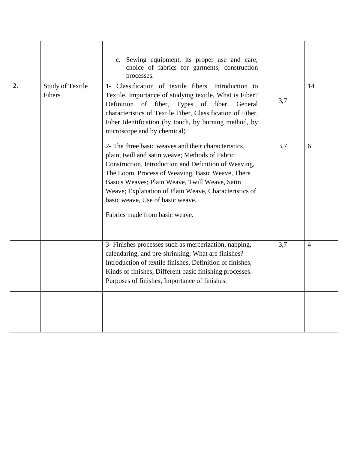|    |                                   | c. Sewing equipment, its proper use and care;<br>choice of fabrics for garments; construction<br>processes.                                                                                                                                                                                                                                                                                           |     |    |
|----|-----------------------------------|-------------------------------------------------------------------------------------------------------------------------------------------------------------------------------------------------------------------------------------------------------------------------------------------------------------------------------------------------------------------------------------------------------|-----|----|
| 2. | <b>Study of Textile</b><br>Fibers | 1- Classification of textile fibers. Introduction to<br>Textile, Importance of studying textile, What is Fiber?<br>Definition of fiber,<br>Types of fiber,<br>General<br>characteristics of Textile Fiber, Classification of Fiber,<br>Fiber Identification (by touch, by burning method, by<br>microscope and by chemical)                                                                           | 3,7 | 14 |
|    |                                   | 2- The three basic weaves and their characteristics,<br>plain, twill and satin weave; Methods of Fabric<br>Construction, Introduction and Definition of Weaving,<br>The Loom, Process of Weaving, Basic Weave, There<br>Basics Weaves; Plain Weave, Twill Weave, Satin<br>Weave; Explanation of Plain Weave, Characteristics of<br>basic weave, Use of basic weave,<br>Fabrics made from basic weave. | 3,7 | 6  |
|    |                                   | 3- Finishes processes such as mercerization, napping,<br>calendaring, and pre-shrinking; What are finishes?<br>Introduction of textile finishes, Definition of finishes,<br>Kinds of finishes, Different basic finishing processes.<br>Purposes of finishes, Importance of finishes.                                                                                                                  | 3,7 | 4  |
|    |                                   |                                                                                                                                                                                                                                                                                                                                                                                                       |     |    |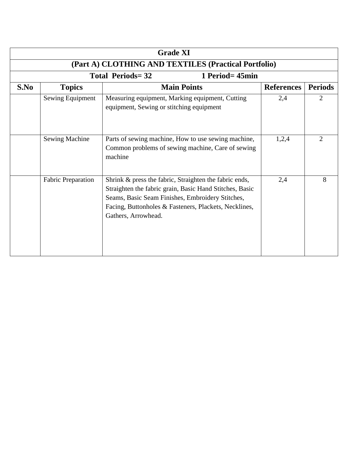| <b>Grade XI</b>                                      |                           |                                                                                                                                                                                                                                                       |                   |                |  |
|------------------------------------------------------|---------------------------|-------------------------------------------------------------------------------------------------------------------------------------------------------------------------------------------------------------------------------------------------------|-------------------|----------------|--|
| (Part A) CLOTHING AND TEXTILES (Practical Portfolio) |                           |                                                                                                                                                                                                                                                       |                   |                |  |
| <b>Total Periods=32</b><br>1 Period= 45min           |                           |                                                                                                                                                                                                                                                       |                   |                |  |
| S.No                                                 | <b>Topics</b>             | <b>Main Points</b>                                                                                                                                                                                                                                    | <b>References</b> | <b>Periods</b> |  |
|                                                      | Sewing Equipment          | Measuring equipment, Marking equipment, Cutting<br>equipment, Sewing or stitching equipment                                                                                                                                                           | 2,4               | $\mathfrak{D}$ |  |
|                                                      | <b>Sewing Machine</b>     | Parts of sewing machine, How to use sewing machine,<br>Common problems of sewing machine, Care of sewing<br>machine                                                                                                                                   | 1,2,4             | 2              |  |
|                                                      | <b>Fabric Preparation</b> | Shrink & press the fabric, Straighten the fabric ends,<br>Straighten the fabric grain, Basic Hand Stitches, Basic<br>Seams, Basic Seam Finishes, Embroidery Stitches,<br>Facing, Buttonholes & Fasteners, Plackets, Necklines,<br>Gathers, Arrowhead. | 2,4               | 8              |  |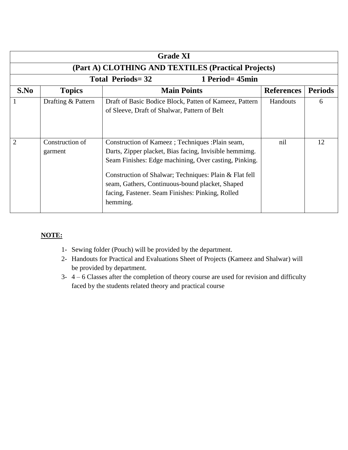| <b>Grade XI</b>                                     |                                               |                                                                                                                                                                                                                                                                                                                                                  |                   |                |  |  |
|-----------------------------------------------------|-----------------------------------------------|--------------------------------------------------------------------------------------------------------------------------------------------------------------------------------------------------------------------------------------------------------------------------------------------------------------------------------------------------|-------------------|----------------|--|--|
| (Part A) CLOTHING AND TEXTILES (Practical Projects) |                                               |                                                                                                                                                                                                                                                                                                                                                  |                   |                |  |  |
|                                                     | <b>Total Periods=32</b><br>1 Period $=$ 45min |                                                                                                                                                                                                                                                                                                                                                  |                   |                |  |  |
| S.No                                                | <b>Topics</b>                                 | <b>Main Points</b>                                                                                                                                                                                                                                                                                                                               | <b>References</b> | <b>Periods</b> |  |  |
|                                                     | Drafting & Pattern                            | Draft of Basic Bodice Block, Patten of Kameez, Pattern<br>of Sleeve, Draft of Shalwar, Pattern of Belt                                                                                                                                                                                                                                           | Handouts          | 6              |  |  |
| $\overline{2}$                                      | Construction of<br>garment                    | Construction of Kameez; Techniques : Plain seam,<br>Darts, Zipper placket, Bias facing, Invisible hemmimg.<br>Seam Finishes: Edge machining, Over casting, Pinking.<br>Construction of Shalwar; Techniques: Plain & Flat fell<br>seam, Gathers, Continuous-bound placket, Shaped<br>facing, Fastener. Seam Finishes: Pinking, Rolled<br>hemming. | nil               | 12             |  |  |

## **NOTE:**

- 1- Sewing folder (Pouch) will be provided by the department.
- 2- Handouts for Practical and Evaluations Sheet of Projects (Kameez and Shalwar) will be provided by department.
- 3- 4 6 Classes after the completion of theory course are used for revision and difficulty faced by the students related theory and practical course